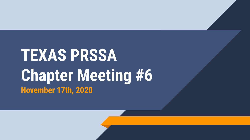## **TEXAS PRSSA Chapter Meeting #6 November 17th, 2020**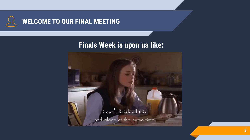

## **Finals Week is upon us like:**

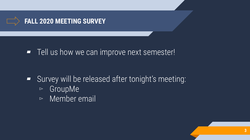

■ Tell us how we can improve next semester!

- Survey will be released after tonight's meeting:
	- ▻ GroupMe
	- ▻ Member email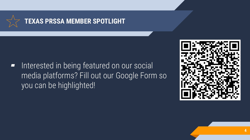

■ Interested in being featured on our social media platforms? Fill out our Google Form so you can be highlighted!

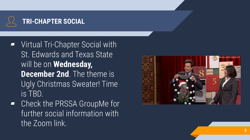

- **Virtual Tri-Chapter Social with** St. Edwards and Texas State will be on **Wednesday, December 2nd.** The theme is Ugly Christmas Sweater! Time is TBD.
- ▰ Check the PRSSA GroupMe for further social information with the Zoom link.

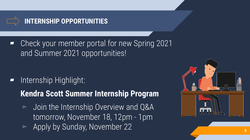

Check your member portal for new Spring 2021 and Summer 2021 opportunities!

- Internship Highlight:
	- **Kendra Scott Summer Internship Program**
	- ▻ Join the Internship Overview and Q&A tomorrow, November 18, 12pm - 1pm
	- ▻ Apply by Sunday, November 22 **<sup>6</sup>**